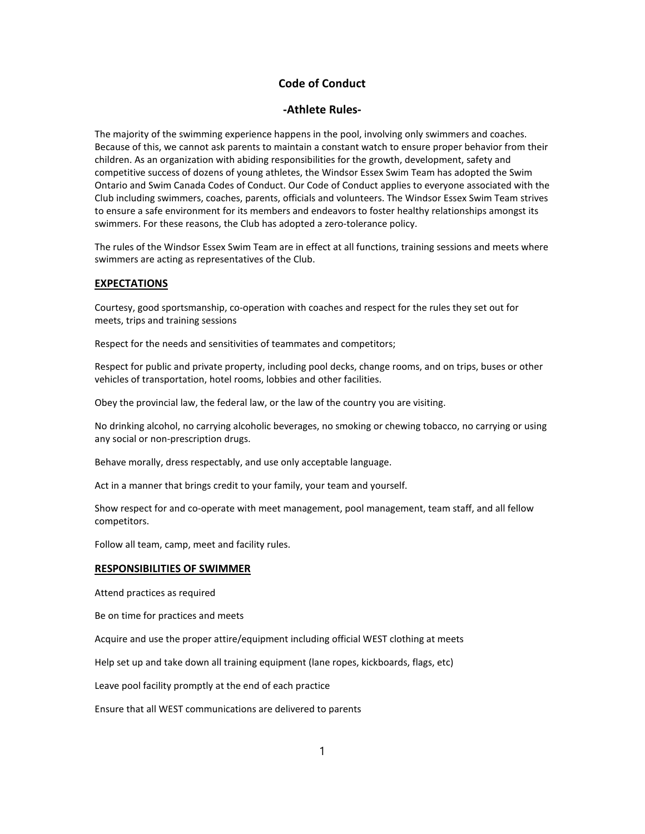# **Code of Conduct**

## **-Athlete Rules-**

The majority of the swimming experience happens in the pool, involving only swimmers and coaches. Because of this, we cannot ask parents to maintain a constant watch to ensure proper behavior from their children. As an organization with abiding responsibilities for the growth, development, safety and competitive success of dozens of young athletes, the Windsor Essex Swim Team has adopted the Swim Ontario and Swim Canada Codes of Conduct. Our Code of Conduct applies to everyone associated with the Club including swimmers, coaches, parents, officials and volunteers. The Windsor Essex Swim Team strives to ensure a safe environment for its members and endeavors to foster healthy relationships amongst its swimmers. For these reasons, the Club has adopted a zero-tolerance policy.

The rules of the Windsor Essex Swim Team are in effect at all functions, training sessions and meets where swimmers are acting as representatives of the Club.

# **EXPECTATIONS**

Courtesy, good sportsmanship, co-operation with coaches and respect for the rules they set out for meets, trips and training sessions

Respect for the needs and sensitivities of teammates and competitors;

Respect for public and private property, including pool decks, change rooms, and on trips, buses or other vehicles of transportation, hotel rooms, lobbies and other facilities.

Obey the provincial law, the federal law, or the law of the country you are visiting.

No drinking alcohol, no carrying alcoholic beverages, no smoking or chewing tobacco, no carrying or using any social or non-prescription drugs.

Behave morally, dress respectably, and use only acceptable language.

Act in a manner that brings credit to your family, your team and yourself.

Show respect for and co-operate with meet management, pool management, team staff, and all fellow competitors.

Follow all team, camp, meet and facility rules.

### **RESPONSIBILITIES OF SWIMMER**

Attend practices as required

Be on time for practices and meets

Acquire and use the proper attire/equipment including official WEST clothing at meets

Help set up and take down all training equipment (lane ropes, kickboards, flags, etc)

Leave pool facility promptly at the end of each practice

Ensure that all WEST communications are delivered to parents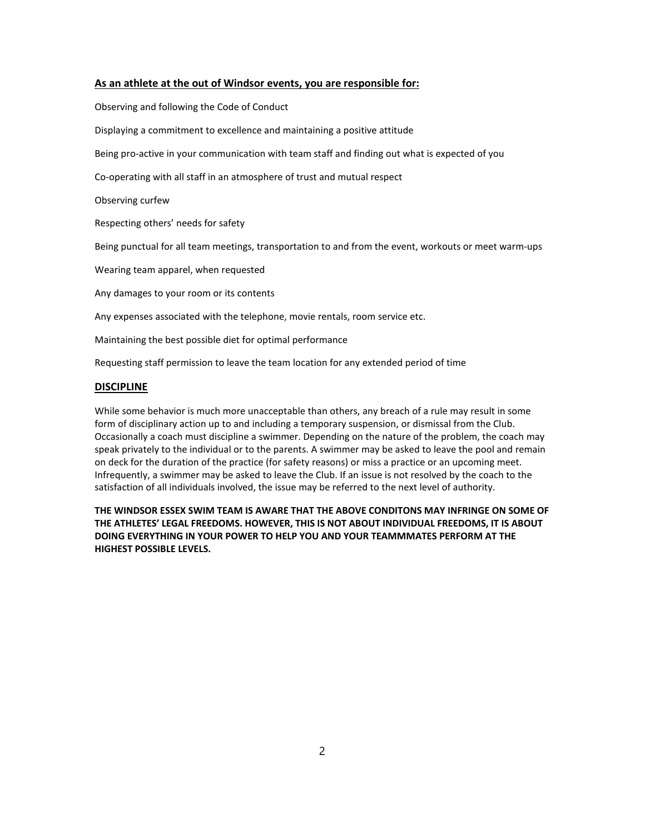#### **As an athlete at the out of Windsor events, you are responsible for:**

Observing and following the Code of Conduct Displaying a commitment to excellence and maintaining a positive attitude Being pro-active in your communication with team staff and finding out what is expected of you Co-operating with all staff in an atmosphere of trust and mutual respect Observing curfew Respecting others' needs for safety Being punctual for all team meetings, transportation to and from the event, workouts or meet warm-ups Wearing team apparel, when requested Any damages to your room or its contents Any expenses associated with the telephone, movie rentals, room service etc.

Maintaining the best possible diet for optimal performance

Requesting staff permission to leave the team location for any extended period of time

## **DISCIPLINE**

While some behavior is much more unacceptable than others, any breach of a rule may result in some form of disciplinary action up to and including a temporary suspension, or dismissal from the Club. Occasionally a coach must discipline a swimmer. Depending on the nature of the problem, the coach may speak privately to the individual or to the parents. A swimmer may be asked to leave the pool and remain on deck for the duration of the practice (for safety reasons) or miss a practice or an upcoming meet. Infrequently, a swimmer may be asked to leave the Club. If an issue is not resolved by the coach to the satisfaction of all individuals involved, the issue may be referred to the next level of authority.

**THE WINDSOR ESSEX SWIM TEAM IS AWARE THAT THE ABOVE CONDITONS MAY INFRINGE ON SOME OF THE ATHLETES' LEGAL FREEDOMS. HOWEVER, THIS IS NOT ABOUT INDIVIDUAL FREEDOMS, IT IS ABOUT DOING EVERYTHING IN YOUR POWER TO HELP YOU AND YOUR TEAMMMATES PERFORM AT THE HIGHEST POSSIBLE LEVELS.**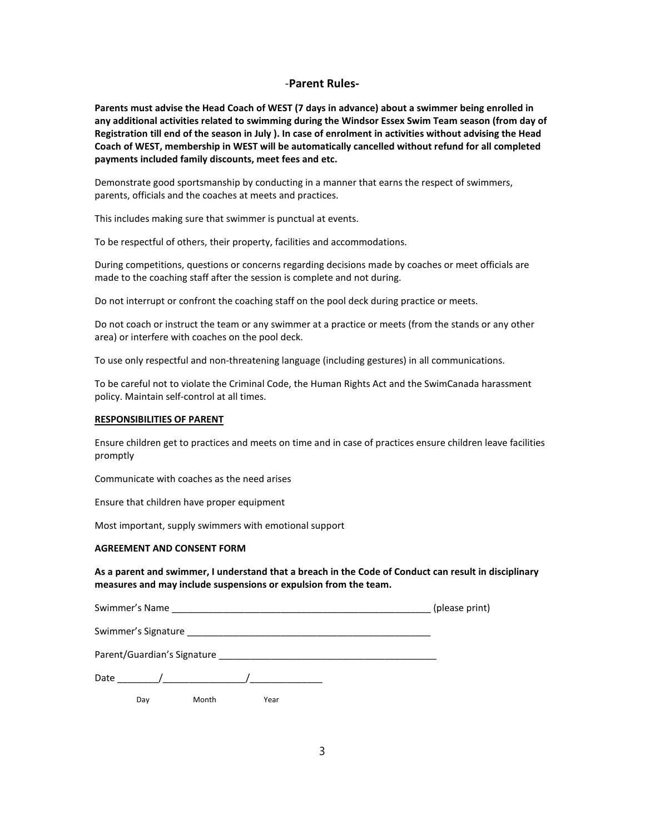## -**Parent Rules-**

**Parents must advise the Head Coach of WEST (7 days in advance) about a swimmer being enrolled in any additional activities related to swimming during the Windsor Essex Swim Team season (from day of Registration till end of the season in July ). In case of enrolment in activities without advising the Head Coach of WEST, membership in WEST will be automatically cancelled without refund for all completed payments included family discounts, meet fees and etc.**

Demonstrate good sportsmanship by conducting in a manner that earns the respect of swimmers, parents, officials and the coaches at meets and practices.

This includes making sure that swimmer is punctual at events.

To be respectful of others, their property, facilities and accommodations.

During competitions, questions or concerns regarding decisions made by coaches or meet officials are made to the coaching staff after the session is complete and not during.

Do not interrupt or confront the coaching staff on the pool deck during practice or meets.

Do not coach or instruct the team or any swimmer at a practice or meets (from the stands or any other area) or interfere with coaches on the pool deck.

To use only respectful and non-threatening language (including gestures) in all communications.

To be careful not to violate the Criminal Code, the Human Rights Act and the SwimCanada harassment policy. Maintain self-control at all times.

#### **RESPONSIBILITIES OF PARENT**

Ensure children get to practices and meets on time and in case of practices ensure children leave facilities promptly

Communicate with coaches as the need arises

Ensure that children have proper equipment

Most important, supply swimmers with emotional support

#### **AGREEMENT AND CONSENT FORM**

**As a parent and swimmer, I understand that a breach in the Code of Conduct can result in disciplinary measures and may include suspensions or expulsion from the team.** 

| Swimmer's Name | (please print) |
|----------------|----------------|
|----------------|----------------|

Swimmer's Signature \_\_\_\_\_\_\_\_\_\_\_\_\_\_\_\_\_\_\_\_\_\_\_\_\_\_\_\_\_\_\_\_\_\_\_\_\_\_\_\_\_\_\_\_\_\_\_

| Parent/Guardian's Signature |  |
|-----------------------------|--|
|                             |  |

| Date |  |  |
|------|--|--|
|------|--|--|

Day Month Year